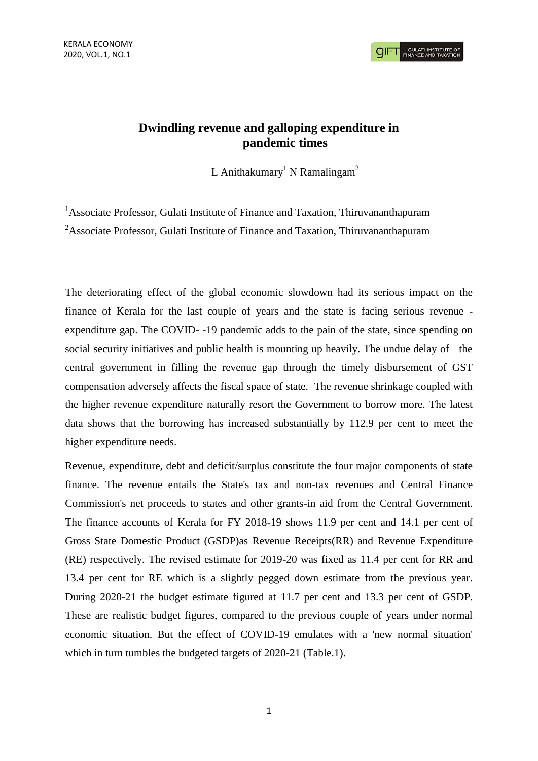KERALA ECONOMY 2020, VOL.1, NO.1

**GULATI INSTITUTE O**<br>FINANCE AND TAXATIO

# **Dwindling revenue and galloping expenditure in pandemic times**

L Anithakumary<sup>1</sup> N Ramalingam<sup>2</sup>

<sup>1</sup>Associate Professor, Gulati Institute of Finance and Taxation, Thiruvananthapuram <sup>2</sup>Associate Professor, Gulati Institute of Finance and Taxation, Thiruvananthapuram

The deteriorating effect of the global economic slowdown had its serious impact on the finance of Kerala for the last couple of years and the state is facing serious revenue expenditure gap. The COVID- -19 pandemic adds to the pain of the state, since spending on social security initiatives and public health is mounting up heavily. The undue delay of the central government in filling the revenue gap through the timely disbursement of GST compensation adversely affects the fiscal space of state. The revenue shrinkage coupled with the higher revenue expenditure naturally resort the Government to borrow more. The latest data shows that the borrowing has increased substantially by 112.9 per cent to meet the higher expenditure needs.

Revenue, expenditure, debt and deficit/surplus constitute the four major components of state finance. The revenue entails the State's tax and non-tax revenues and Central Finance Commission's net proceeds to states and other grants-in aid from the Central Government. The finance accounts of Kerala for FY 2018-19 shows 11.9 per cent and 14.1 per cent of Gross State Domestic Product (GSDP)as Revenue Receipts(RR) and Revenue Expenditure (RE) respectively. The revised estimate for 2019-20 was fixed as 11.4 per cent for RR and 13.4 per cent for RE which is a slightly pegged down estimate from the previous year. During 2020-21 the budget estimate figured at 11.7 per cent and 13.3 per cent of GSDP. These are realistic budget figures, compared to the previous couple of years under normal economic situation. But the effect of COVID-19 emulates with a 'new normal situation' which in turn tumbles the budgeted targets of 2020-21 (Table.1).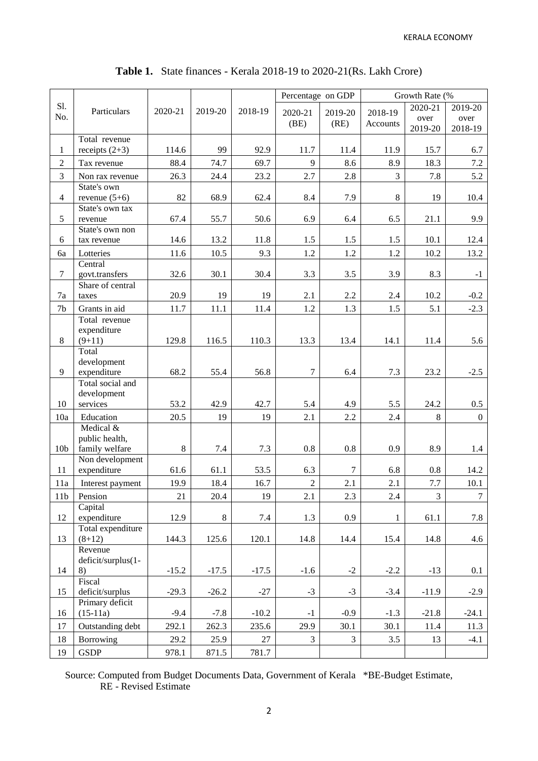KERALA ECONOMY

| S1.<br>2020-21<br>2018-19<br>Particulars<br>2020-21<br>2019-20<br>2020-21<br>2019-20<br>2018-19<br>No.<br>over<br>(BE)<br>(RE)<br>Accounts<br>2019-20<br>Total revenue<br>99<br>$\mathbf{1}$<br>receipts $(2+3)$<br>114.6<br>92.9<br>11.7<br>11.9<br>11.4<br>15.7<br>$\overline{2}$<br>9<br>88.4<br>74.7<br>69.7<br>8.6<br>8.9<br>18.3<br>Tax revenue<br>$\overline{3}$<br>$\overline{3}$<br>23.2<br>2.7<br>2.8<br>26.3<br>24.4<br>7.8<br>Non rax revenue<br>State's own<br>$8\,$<br>82<br>$\overline{4}$<br>revenue $(5+6)$<br>68.9<br>62.4<br>8.4<br>7.9<br>19<br>State's own tax<br>5<br>6.9<br>67.4<br>55.7<br>50.6<br>6.4<br>6.5<br>21.1<br>revenue | 2019-20<br>over<br>2018-19<br>6.7<br>7.2<br>5.2<br>10.4<br>9.9<br>12.4<br>13.2<br>$-1$ |
|----------------------------------------------------------------------------------------------------------------------------------------------------------------------------------------------------------------------------------------------------------------------------------------------------------------------------------------------------------------------------------------------------------------------------------------------------------------------------------------------------------------------------------------------------------------------------------------------------------------------------------------------------------|----------------------------------------------------------------------------------------|
|                                                                                                                                                                                                                                                                                                                                                                                                                                                                                                                                                                                                                                                          |                                                                                        |
|                                                                                                                                                                                                                                                                                                                                                                                                                                                                                                                                                                                                                                                          |                                                                                        |
|                                                                                                                                                                                                                                                                                                                                                                                                                                                                                                                                                                                                                                                          |                                                                                        |
|                                                                                                                                                                                                                                                                                                                                                                                                                                                                                                                                                                                                                                                          |                                                                                        |
|                                                                                                                                                                                                                                                                                                                                                                                                                                                                                                                                                                                                                                                          |                                                                                        |
|                                                                                                                                                                                                                                                                                                                                                                                                                                                                                                                                                                                                                                                          |                                                                                        |
|                                                                                                                                                                                                                                                                                                                                                                                                                                                                                                                                                                                                                                                          |                                                                                        |
|                                                                                                                                                                                                                                                                                                                                                                                                                                                                                                                                                                                                                                                          |                                                                                        |
|                                                                                                                                                                                                                                                                                                                                                                                                                                                                                                                                                                                                                                                          |                                                                                        |
|                                                                                                                                                                                                                                                                                                                                                                                                                                                                                                                                                                                                                                                          |                                                                                        |
| State's own non                                                                                                                                                                                                                                                                                                                                                                                                                                                                                                                                                                                                                                          |                                                                                        |
| 14.6<br>1.5<br>6<br>13.2<br>11.8<br>1.5<br>1.5<br>10.1<br>tax revenue                                                                                                                                                                                                                                                                                                                                                                                                                                                                                                                                                                                    |                                                                                        |
| 9.3<br>1.2<br>6a<br>Lotteries<br>11.6<br>10.5<br>1.2<br>1.2<br>10.2                                                                                                                                                                                                                                                                                                                                                                                                                                                                                                                                                                                      |                                                                                        |
| Central                                                                                                                                                                                                                                                                                                                                                                                                                                                                                                                                                                                                                                                  |                                                                                        |
| $\overline{7}$<br>3.3<br>govt.transfers<br>32.6<br>30.1<br>30.4<br>3.5<br>3.9<br>8.3                                                                                                                                                                                                                                                                                                                                                                                                                                                                                                                                                                     |                                                                                        |
| Share of central                                                                                                                                                                                                                                                                                                                                                                                                                                                                                                                                                                                                                                         |                                                                                        |
| 20.9<br>2.2<br>$7\mathrm{a}$<br>19<br>19<br>2.1<br>2.4<br>10.2<br>taxes                                                                                                                                                                                                                                                                                                                                                                                                                                                                                                                                                                                  | $-0.2$                                                                                 |
| 1.5<br>7 <sub>b</sub><br>Grants in aid<br>11.7<br>11.1<br>11.4<br>1.2<br>1.3<br>5.1                                                                                                                                                                                                                                                                                                                                                                                                                                                                                                                                                                      | $-2.3$                                                                                 |
| Total revenue<br>expenditure                                                                                                                                                                                                                                                                                                                                                                                                                                                                                                                                                                                                                             |                                                                                        |
| 8<br>129.8<br>110.3<br>13.3<br>14.1<br>$(9+11)$<br>116.5<br>13.4<br>11.4                                                                                                                                                                                                                                                                                                                                                                                                                                                                                                                                                                                 | 5.6                                                                                    |
| Total                                                                                                                                                                                                                                                                                                                                                                                                                                                                                                                                                                                                                                                    |                                                                                        |
| development                                                                                                                                                                                                                                                                                                                                                                                                                                                                                                                                                                                                                                              |                                                                                        |
| 9<br>expenditure<br>$\tau$<br>7.3<br>68.2<br>55.4<br>56.8<br>23.2<br>6.4                                                                                                                                                                                                                                                                                                                                                                                                                                                                                                                                                                                 | $-2.5$                                                                                 |
| Total social and                                                                                                                                                                                                                                                                                                                                                                                                                                                                                                                                                                                                                                         |                                                                                        |
| development                                                                                                                                                                                                                                                                                                                                                                                                                                                                                                                                                                                                                                              |                                                                                        |
| 10<br>services<br>53.2<br>42.9<br>42.7<br>5.4<br>4.9<br>5.5<br>24.2                                                                                                                                                                                                                                                                                                                                                                                                                                                                                                                                                                                      | 0.5                                                                                    |
| 2.1<br>2.2<br>8<br>10a<br>Education<br>20.5<br>19<br>19<br>2.4                                                                                                                                                                                                                                                                                                                                                                                                                                                                                                                                                                                           | $\overline{0}$                                                                         |
| Medical &<br>public health,                                                                                                                                                                                                                                                                                                                                                                                                                                                                                                                                                                                                                              |                                                                                        |
| $\,8\,$<br>family welfare<br>7.3<br>0.9<br>8.9<br>10 <sub>b</sub><br>7.4<br>0.8<br>0.8                                                                                                                                                                                                                                                                                                                                                                                                                                                                                                                                                                   | 1.4                                                                                    |
| Non development                                                                                                                                                                                                                                                                                                                                                                                                                                                                                                                                                                                                                                          |                                                                                        |
| expenditure<br>$\overline{7}$<br>11<br>53.5<br>6.3<br>6.8<br>$0.8\,$<br>61.6<br>61.1                                                                                                                                                                                                                                                                                                                                                                                                                                                                                                                                                                     | 14.2                                                                                   |
| $\overline{c}$<br>19.9<br>18.4<br>$16.7\,$<br>2.1<br>2.1<br>$7.7\,$<br>11a<br>Interest payment                                                                                                                                                                                                                                                                                                                                                                                                                                                                                                                                                           | 10.1                                                                                   |
| 11 <sub>b</sub><br>Pension<br>21<br>20.4<br>19<br>2.1<br>2.3<br>2.4<br>3                                                                                                                                                                                                                                                                                                                                                                                                                                                                                                                                                                                 | $\tau$                                                                                 |
| Capital                                                                                                                                                                                                                                                                                                                                                                                                                                                                                                                                                                                                                                                  |                                                                                        |
| 12<br>expenditure<br>$8\,$<br>12.9<br>7.4<br>1.3<br>0.9<br>61.1<br>$\mathbf{1}$                                                                                                                                                                                                                                                                                                                                                                                                                                                                                                                                                                          | 7.8                                                                                    |
| Total expenditure                                                                                                                                                                                                                                                                                                                                                                                                                                                                                                                                                                                                                                        |                                                                                        |
| 13<br>$(8+12)$<br>144.3<br>125.6<br>120.1<br>14.8<br>15.4<br>14.8<br>14.4                                                                                                                                                                                                                                                                                                                                                                                                                                                                                                                                                                                | 4.6                                                                                    |
| Revenue                                                                                                                                                                                                                                                                                                                                                                                                                                                                                                                                                                                                                                                  |                                                                                        |
| deficit/surplus(1-<br>14<br>8)<br>$-15.2$<br>$-17.5$<br>$-17.5$<br>$-1.6$<br>$-2$<br>$-2.2$<br>$-13$                                                                                                                                                                                                                                                                                                                                                                                                                                                                                                                                                     | 0.1                                                                                    |
| Fiscal                                                                                                                                                                                                                                                                                                                                                                                                                                                                                                                                                                                                                                                   |                                                                                        |
| deficit/surplus<br>$-3$<br>$-27$<br>$-3$<br>$-3.4$<br>$-29.3$<br>$-26.2$<br>15<br>$-11.9$                                                                                                                                                                                                                                                                                                                                                                                                                                                                                                                                                                | $-2.9$                                                                                 |
| Primary deficit                                                                                                                                                                                                                                                                                                                                                                                                                                                                                                                                                                                                                                          |                                                                                        |
| 16<br>$(15-11a)$<br>$-9.4$<br>$-7.8$<br>$-10.2$<br>$-0.9$<br>$-1.3$<br>$-21.8$<br>$-1$                                                                                                                                                                                                                                                                                                                                                                                                                                                                                                                                                                   | $-24.1$                                                                                |
| Outstanding debt<br>17<br>292.1<br>262.3<br>235.6<br>29.9<br>30.1<br>30.1<br>11.4                                                                                                                                                                                                                                                                                                                                                                                                                                                                                                                                                                        | 11.3                                                                                   |
| $\overline{3}$<br>$\overline{3}$<br>18<br>Borrowing<br>29.2<br>25.9<br>27<br>3.5<br>13                                                                                                                                                                                                                                                                                                                                                                                                                                                                                                                                                                   |                                                                                        |
| <b>GSDP</b><br>19<br>978.1<br>871.5<br>781.7                                                                                                                                                                                                                                                                                                                                                                                                                                                                                                                                                                                                             | $-4.1$                                                                                 |

**Table 1.** State finances - Kerala 2018-19 to 2020-21(Rs. Lakh Crore)

Source: Computed from Budget Documents Data, Government of Kerala \*BE-Budget Estimate, RE - Revised Estimate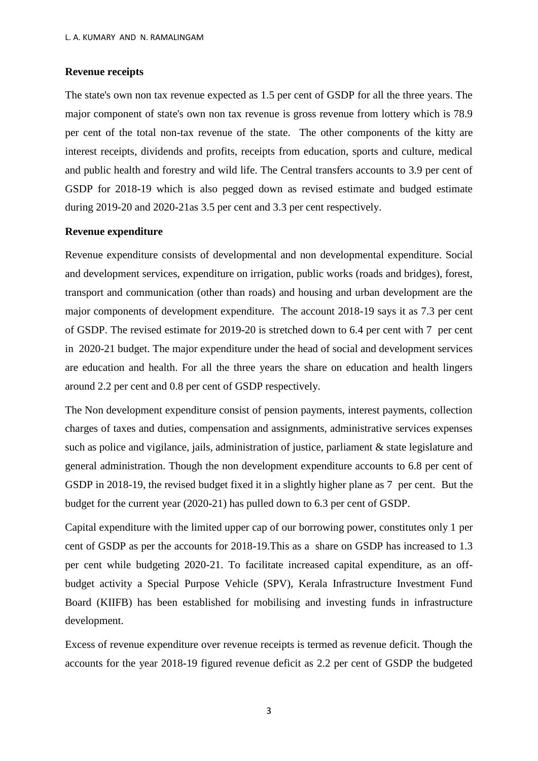## **Revenue receipts**

The state's own non tax revenue expected as 1.5 per cent of GSDP for all the three years. The major component of state's own non tax revenue is gross revenue from lottery which is 78.9 per cent of the total non-tax revenue of the state. The other components of the kitty are interest receipts, dividends and profits, receipts from education, sports and culture, medical and public health and forestry and wild life. The Central transfers accounts to 3.9 per cent of GSDP for 2018-19 which is also pegged down as revised estimate and budged estimate during 2019-20 and 2020-21as 3.5 per cent and 3.3 per cent respectively.

### **Revenue expenditure**

Revenue expenditure consists of developmental and non developmental expenditure. Social and development services, expenditure on irrigation, public works (roads and bridges), forest, transport and communication (other than roads) and housing and urban development are the major components of development expenditure. The account 2018-19 says it as 7.3 per cent of GSDP. The revised estimate for 2019-20 is stretched down to 6.4 per cent with 7 per cent in 2020-21 budget. The major expenditure under the head of social and development services are education and health. For all the three years the share on education and health lingers around 2.2 per cent and 0.8 per cent of GSDP respectively.

The Non development expenditure consist of pension payments, interest payments, collection charges of taxes and duties, compensation and assignments, administrative services expenses such as police and vigilance, jails, administration of justice, parliament & state legislature and general administration. Though the non development expenditure accounts to 6.8 per cent of GSDP in 2018-19, the revised budget fixed it in a slightly higher plane as 7 per cent. But the budget for the current year (2020-21) has pulled down to 6.3 per cent of GSDP.

Capital expenditure with the limited upper cap of our borrowing power, constitutes only 1 per cent of GSDP as per the accounts for 2018-19.This as a share on GSDP has increased to 1.3 per cent while budgeting 2020-21. To facilitate increased capital expenditure, as an offbudget activity a Special Purpose Vehicle (SPV), Kerala Infrastructure Investment Fund Board (KIIFB) has been established for mobilising and investing funds in infrastructure development.

Excess of revenue expenditure over revenue receipts is termed as revenue deficit. Though the accounts for the year 2018-19 figured revenue deficit as 2.2 per cent of GSDP the budgeted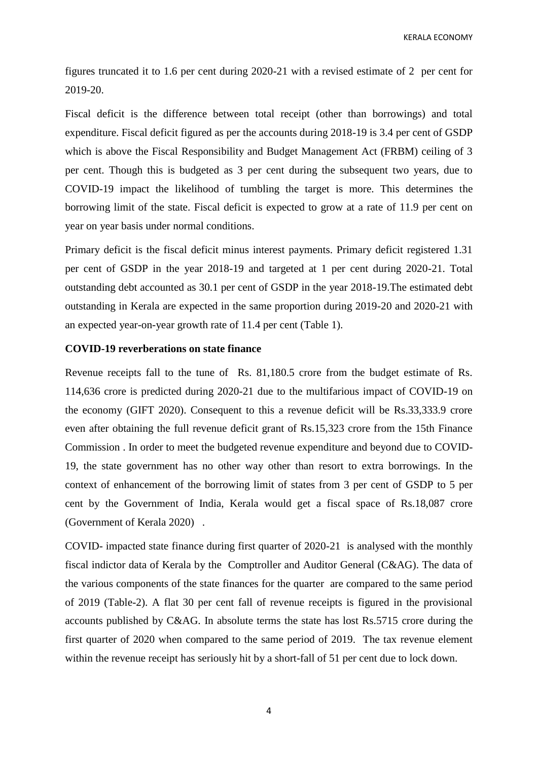KERALA ECONOMY

figures truncated it to 1.6 per cent during 2020-21 with a revised estimate of 2 per cent for 2019-20.

Fiscal deficit is the difference between total receipt (other than borrowings) and total expenditure. Fiscal deficit figured as per the accounts during 2018-19 is 3.4 per cent of GSDP which is above the Fiscal Responsibility and Budget Management Act (FRBM) ceiling of 3 per cent. Though this is budgeted as 3 per cent during the subsequent two years, due to COVID-19 impact the likelihood of tumbling the target is more. This determines the borrowing limit of the state. Fiscal deficit is expected to grow at a rate of 11.9 per cent on year on year basis under normal conditions.

Primary deficit is the fiscal deficit minus interest payments. Primary deficit registered 1.31 per cent of GSDP in the year 2018-19 and targeted at 1 per cent during 2020-21. Total outstanding debt accounted as 30.1 per cent of GSDP in the year 2018-19.The estimated debt outstanding in Kerala are expected in the same proportion during 2019-20 and 2020-21 with an expected year-on-year growth rate of 11.4 per cent (Table 1).

## **COVID-19 reverberations on state finance**

Revenue receipts fall to the tune of Rs. 81,180.5 crore from the budget estimate of Rs. 114,636 crore is predicted during 2020-21 due to the multifarious impact of COVID-19 on the economy (GIFT 2020). Consequent to this a revenue deficit will be Rs.33,333.9 crore even after obtaining the full revenue deficit grant of Rs.15,323 crore from the 15th Finance Commission . In order to meet the budgeted revenue expenditure and beyond due to COVID-19, the state government has no other way other than resort to extra borrowings. In the context of enhancement of the borrowing limit of states from 3 per cent of GSDP to 5 per cent by the Government of India, Kerala would get a fiscal space of Rs.18,087 crore (Government of Kerala 2020) .

COVID- impacted state finance during first quarter of 2020-21 is analysed with the monthly fiscal indictor data of Kerala by the Comptroller and Auditor General (C&AG). The data of the various components of the state finances for the quarter are compared to the same period of 2019 (Table-2). A flat 30 per cent fall of revenue receipts is figured in the provisional accounts published by C&AG. In absolute terms the state has lost Rs.5715 crore during the first quarter of 2020 when compared to the same period of 2019. The tax revenue element within the revenue receipt has seriously hit by a short-fall of 51 per cent due to lock down.

4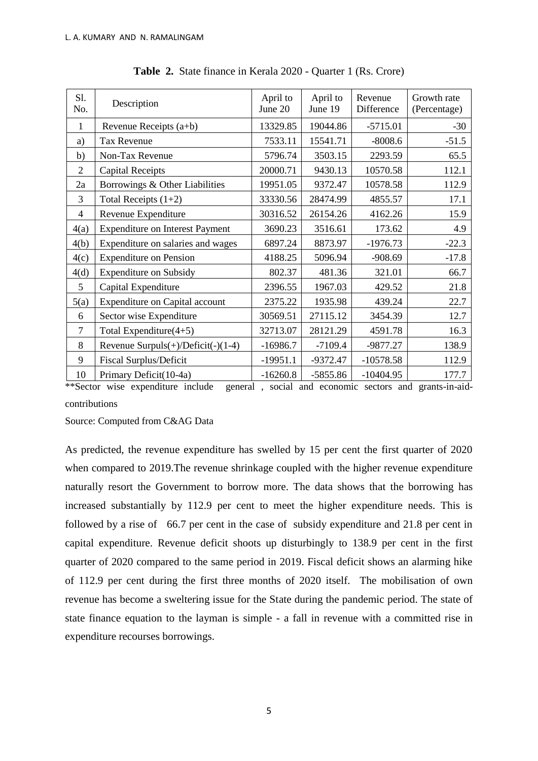| Sl.<br>No.     | Description                               | April to<br>June 20 | April to<br>June 19 | Revenue<br>Difference | Growth rate<br>(Percentage) |
|----------------|-------------------------------------------|---------------------|---------------------|-----------------------|-----------------------------|
| 1              | Revenue Receipts (a+b)                    | 13329.85            | 19044.86            | $-5715.01$            | $-30$                       |
| a)             | <b>Tax Revenue</b>                        | 7533.11             | 15541.71            | $-8008.6$             | $-51.5$                     |
| b)             | Non-Tax Revenue                           | 5796.74             | 3503.15             | 2293.59               | 65.5                        |
| 2              | <b>Capital Receipts</b>                   | 20000.71            | 9430.13             | 10570.58              | 112.1                       |
| 2a             | Borrowings & Other Liabilities            | 19951.05            | 9372.47             | 10578.58              | 112.9                       |
| 3              | Total Receipts $(1+2)$                    | 33330.56            | 28474.99            | 4855.57               | 17.1                        |
| 4              | Revenue Expenditure                       | 30316.52            | 26154.26            | 4162.26               | 15.9                        |
| 4(a)           | <b>Expenditure on Interest Payment</b>    | 3690.23             | 3516.61             | 173.62                | 4.9                         |
| 4(b)           | Expenditure on salaries and wages         | 6897.24             | 8873.97             | $-1976.73$            | $-22.3$                     |
| 4(c)           | <b>Expenditure on Pension</b>             | 4188.25             | 5096.94             | $-908.69$             | $-17.8$                     |
| 4(d)           | <b>Expenditure on Subsidy</b>             | 802.37              | 481.36              | 321.01                | 66.7                        |
| 5              | Capital Expenditure                       | 2396.55             | 1967.03             | 429.52                | 21.8                        |
| 5(a)           | Expenditure on Capital account            | 2375.22             | 1935.98             | 439.24                | 22.7                        |
| 6              | Sector wise Expenditure                   | 30569.51            | 27115.12            | 3454.39               | 12.7                        |
| $\overline{7}$ | Total Expenditure $(4+5)$                 | 32713.07            | 28121.29            | 4591.78               | 16.3                        |
| 8              | Revenue Surpuls $(+)/$ Deficit $(-)(1-4)$ | $-16986.7$          | $-7109.4$           | -9877.27              | 138.9                       |
| 9              | <b>Fiscal Surplus/Deficit</b>             | $-19951.1$          | $-9372.47$          | $-10578.58$           | 112.9                       |
| 10             | Primary Deficit(10-4a)                    | $-16260.8$          | $-5855.86$          | $-10404.95$           | 177.7                       |

**Table 2.** State finance in Kerala 2020 - Quarter 1 (Rs. Crore)

\*\*Sector wise expenditure include general , social and economic sectors and grants-in-aidcontributions

Source: Computed from C&AG Data

As predicted, the revenue expenditure has swelled by 15 per cent the first quarter of 2020 when compared to 2019.The revenue shrinkage coupled with the higher revenue expenditure naturally resort the Government to borrow more. The data shows that the borrowing has increased substantially by 112.9 per cent to meet the higher expenditure needs. This is followed by a rise of 66.7 per cent in the case of subsidy expenditure and 21.8 per cent in capital expenditure. Revenue deficit shoots up disturbingly to 138.9 per cent in the first quarter of 2020 compared to the same period in 2019. Fiscal deficit shows an alarming hike of 112.9 per cent during the first three months of 2020 itself. The mobilisation of own revenue has become a sweltering issue for the State during the pandemic period. The state of state finance equation to the layman is simple - a fall in revenue with a committed rise in expenditure recourses borrowings.